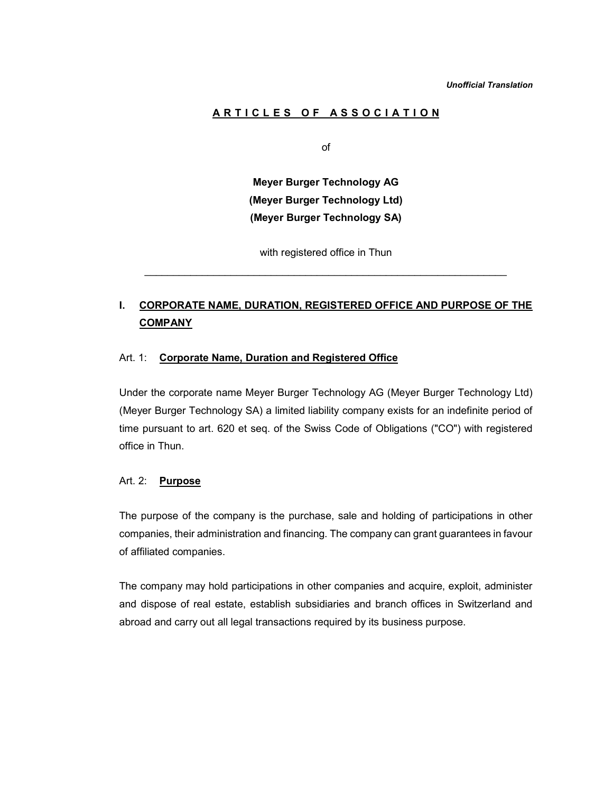# ARTICLES OF ASSOCIATION

of

Meyer Burger Technology AG (Meyer Burger Technology Ltd) (Meyer Burger Technology SA)

with registered office in Thun

# I. CORPORATE NAME, DURATION, REGISTERED OFFICE AND PURPOSE OF THE **COMPANY**

### Art. 1: Corporate Name, Duration and Registered Office

Under the corporate name Meyer Burger Technology AG (Meyer Burger Technology Ltd) (Meyer Burger Technology SA) a limited liability company exists for an indefinite period of time pursuant to art. 620 et seq. of the Swiss Code of Obligations ("CO") with registered office in Thun.

#### Art. 2: Purpose

The purpose of the company is the purchase, sale and holding of participations in other companies, their administration and financing. The company can grant guarantees in favour of affiliated companies.

The company may hold participations in other companies and acquire, exploit, administer and dispose of real estate, establish subsidiaries and branch offices in Switzerland and abroad and carry out all legal transactions required by its business purpose.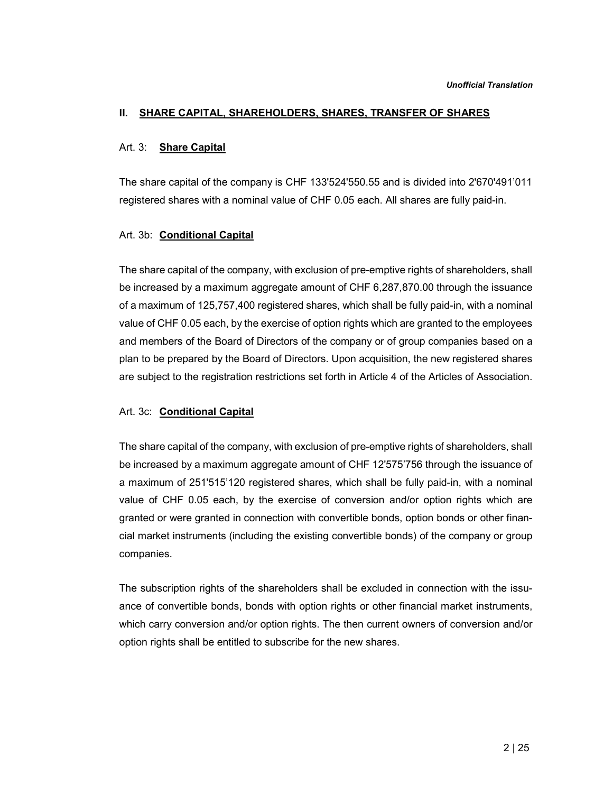### II. SHARE CAPITAL, SHAREHOLDERS, SHARES, TRANSFER OF SHARES

#### Art. 3: Share Capital

The share capital of the company is CHF 133'524'550.55 and is divided into 2'670'491'011 registered shares with a nominal value of CHF 0.05 each. All shares are fully paid-in.

#### Art. 3b: **Conditional Capital**

The share capital of the company, with exclusion of pre-emptive rights of shareholders, shall be increased by a maximum aggregate amount of CHF 6,287,870.00 through the issuance of a maximum of 125,757,400 registered shares, which shall be fully paid-in, with a nominal value of CHF 0.05 each, by the exercise of option rights which are granted to the employees and members of the Board of Directors of the company or of group companies based on a plan to be prepared by the Board of Directors. Upon acquisition, the new registered shares are subject to the registration restrictions set forth in Article 4 of the Articles of Association.

### Art. 3c: Conditional Capital

The share capital of the company, with exclusion of pre-emptive rights of shareholders, shall be increased by a maximum aggregate amount of CHF 12'575'756 through the issuance of a maximum of 251'515'120 registered shares, which shall be fully paid-in, with a nominal value of CHF 0.05 each, by the exercise of conversion and/or option rights which are granted or were granted in connection with convertible bonds, option bonds or other financial market instruments (including the existing convertible bonds) of the company or group companies.

The subscription rights of the shareholders shall be excluded in connection with the issuance of convertible bonds, bonds with option rights or other financial market instruments, which carry conversion and/or option rights. The then current owners of conversion and/or option rights shall be entitled to subscribe for the new shares.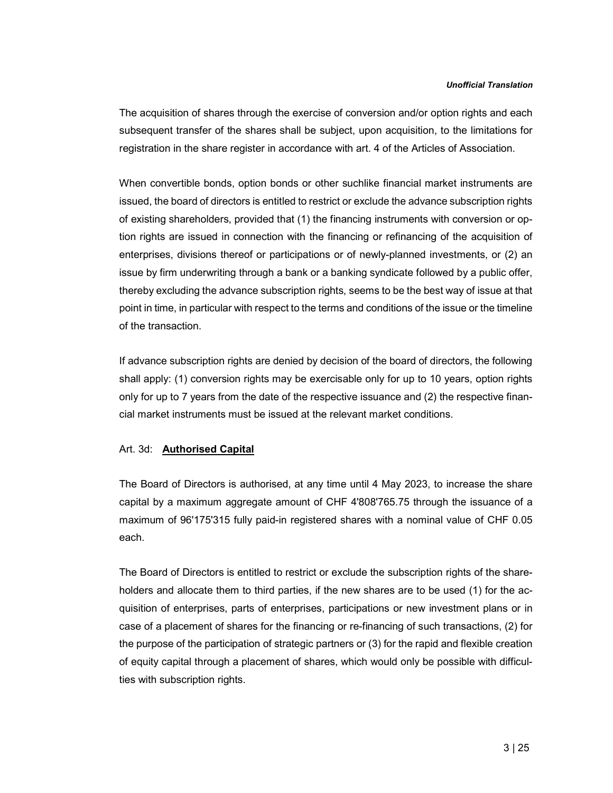The acquisition of shares through the exercise of conversion and/or option rights and each subsequent transfer of the shares shall be subject, upon acquisition, to the limitations for registration in the share register in accordance with art. 4 of the Articles of Association.

When convertible bonds, option bonds or other suchlike financial market instruments are issued, the board of directors is entitled to restrict or exclude the advance subscription rights of existing shareholders, provided that (1) the financing instruments with conversion or option rights are issued in connection with the financing or refinancing of the acquisition of enterprises, divisions thereof or participations or of newly-planned investments, or (2) an issue by firm underwriting through a bank or a banking syndicate followed by a public offer, thereby excluding the advance subscription rights, seems to be the best way of issue at that point in time, in particular with respect to the terms and conditions of the issue or the timeline of the transaction.

If advance subscription rights are denied by decision of the board of directors, the following shall apply: (1) conversion rights may be exercisable only for up to 10 years, option rights only for up to 7 years from the date of the respective issuance and (2) the respective financial market instruments must be issued at the relevant market conditions.

### Art. 3d: Authorised Capital

The Board of Directors is authorised, at any time until 4 May 2023, to increase the share capital by a maximum aggregate amount of CHF 4'808'765.75 through the issuance of a maximum of 96'175'315 fully paid-in registered shares with a nominal value of CHF 0.05 each.

The Board of Directors is entitled to restrict or exclude the subscription rights of the shareholders and allocate them to third parties, if the new shares are to be used (1) for the acquisition of enterprises, parts of enterprises, participations or new investment plans or in case of a placement of shares for the financing or re-financing of such transactions, (2) for the purpose of the participation of strategic partners or (3) for the rapid and flexible creation of equity capital through a placement of shares, which would only be possible with difficulties with subscription rights.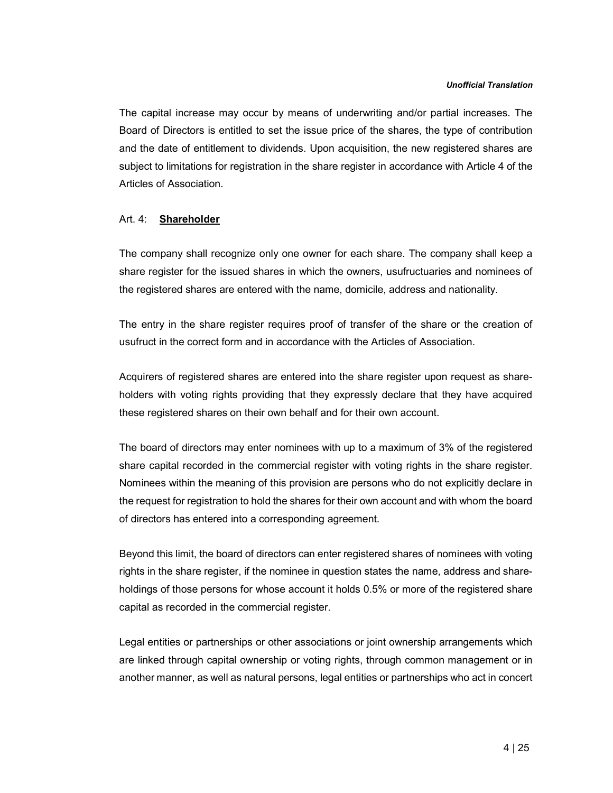The capital increase may occur by means of underwriting and/or partial increases. The Board of Directors is entitled to set the issue price of the shares, the type of contribution and the date of entitlement to dividends. Upon acquisition, the new registered shares are subject to limitations for registration in the share register in accordance with Article 4 of the Articles of Association.

### Art. 4: Shareholder

The company shall recognize only one owner for each share. The company shall keep a share register for the issued shares in which the owners, usufructuaries and nominees of the registered shares are entered with the name, domicile, address and nationality.

The entry in the share register requires proof of transfer of the share or the creation of usufruct in the correct form and in accordance with the Articles of Association.

Acquirers of registered shares are entered into the share register upon request as shareholders with voting rights providing that they expressly declare that they have acquired these registered shares on their own behalf and for their own account.

The board of directors may enter nominees with up to a maximum of 3% of the registered share capital recorded in the commercial register with voting rights in the share register. Nominees within the meaning of this provision are persons who do not explicitly declare in the request for registration to hold the shares for their own account and with whom the board of directors has entered into a corresponding agreement.

Beyond this limit, the board of directors can enter registered shares of nominees with voting rights in the share register, if the nominee in question states the name, address and shareholdings of those persons for whose account it holds 0.5% or more of the registered share capital as recorded in the commercial register.

Legal entities or partnerships or other associations or joint ownership arrangements which are linked through capital ownership or voting rights, through common management or in another manner, as well as natural persons, legal entities or partnerships who act in concert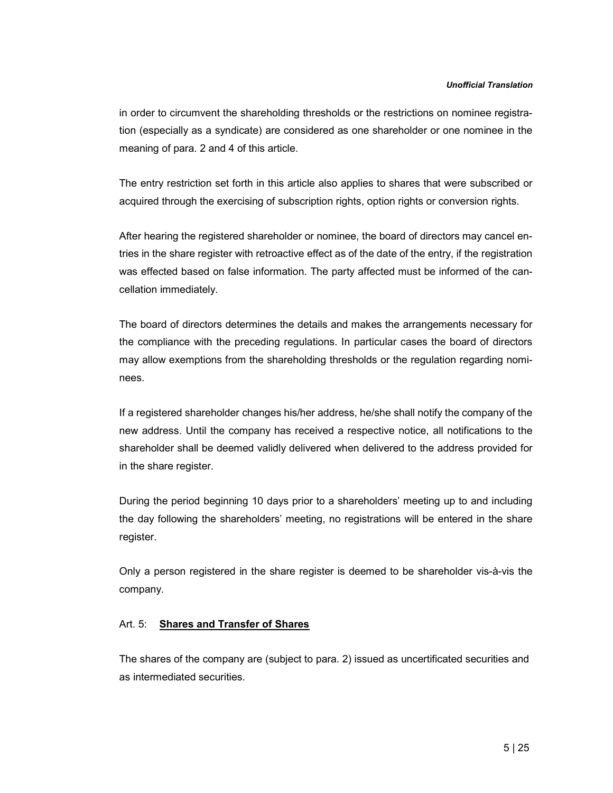in order to circumvent the shareholding thresholds or the restrictions on nominee registration (especially as a syndicate) are considered as one shareholder or one nominee in the meaning of para. 2 and 4 of this article.

The entry restriction set forth in this article also applies to shares that were subscribed or acquired through the exercising of subscription rights, option rights or conversion rights.

After hearing the registered shareholder or nominee, the board of directors may cancel entries in the share register with retroactive effect as of the date of the entry, if the registration was effected based on false information. The party affected must be informed of the cancellation immediately.

The board of directors determines the details and makes the arrangements necessary for the compliance with the preceding regulations. In particular cases the board of directors may allow exemptions from the shareholding thresholds or the regulation regarding nominees.

If a registered shareholder changes his/her address, he/she shall notify the company of the new address. Until the company has received a respective notice, all notifications to the shareholder shall be deemed validly delivered when delivered to the address provided for in the share register.

During the period beginning 10 days prior to a shareholders' meeting up to and including the day following the shareholders' meeting, no registrations will be entered in the share register.

Only a person registered in the share register is deemed to be shareholder vis-à-vis the company.

### Art. 5: Shares and Transfer of Shares

The shares of the company are (subject to para. 2) issued as uncertificated securities and as intermediated securities.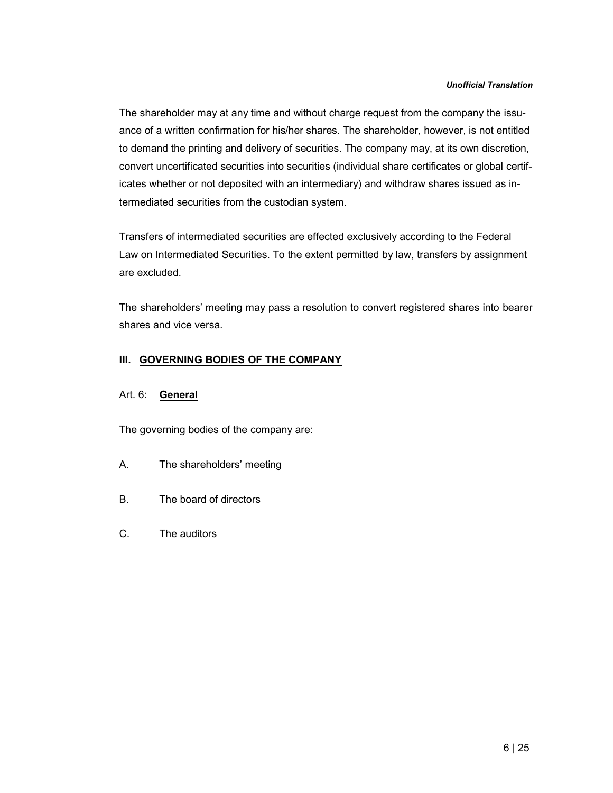The shareholder may at any time and without charge request from the company the issuance of a written confirmation for his/her shares. The shareholder, however, is not entitled to demand the printing and delivery of securities. The company may, at its own discretion, convert uncertificated securities into securities (individual share certificates or global certificates whether or not deposited with an intermediary) and withdraw shares issued as intermediated securities from the custodian system.

Transfers of intermediated securities are effected exclusively according to the Federal Law on Intermediated Securities. To the extent permitted by law, transfers by assignment are excluded.

The shareholders' meeting may pass a resolution to convert registered shares into bearer shares and vice versa.

# III. GOVERNING BODIES OF THE COMPANY

# Art. 6: General

The governing bodies of the company are:

- A. The shareholders' meeting
- B. The board of directors
- C. The auditors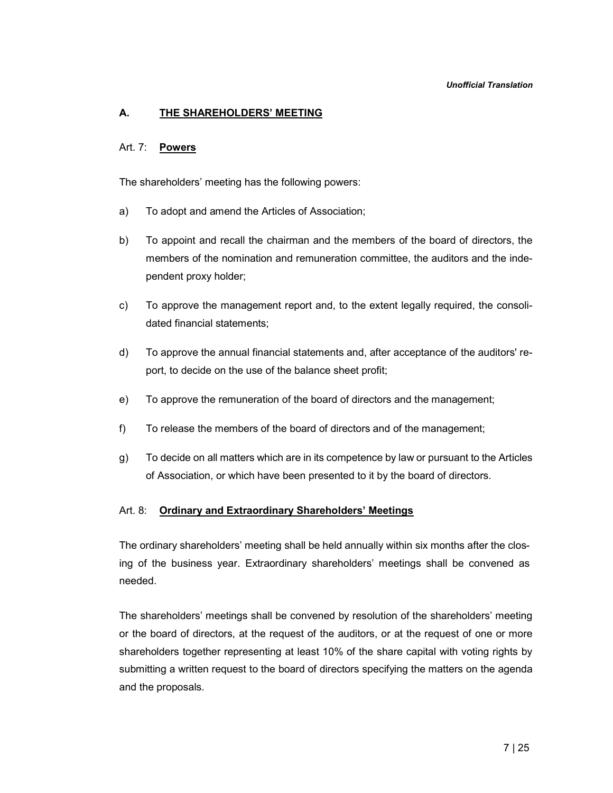# A. THE SHAREHOLDERS' MEETING

### Art. 7: Powers

The shareholders' meeting has the following powers:

- a) To adopt and amend the Articles of Association;
- b) To appoint and recall the chairman and the members of the board of directors, the members of the nomination and remuneration committee, the auditors and the independent proxy holder;
- c) To approve the management report and, to the extent legally required, the consolidated financial statements;
- d) To approve the annual financial statements and, after acceptance of the auditors' report, to decide on the use of the balance sheet profit;
- e) To approve the remuneration of the board of directors and the management;
- f) To release the members of the board of directors and of the management;
- g) To decide on all matters which are in its competence by law or pursuant to the Articles of Association, or which have been presented to it by the board of directors.

### Art. 8: Ordinary and Extraordinary Shareholders' Meetings

The ordinary shareholders' meeting shall be held annually within six months after the closing of the business year. Extraordinary shareholders' meetings shall be convened as needed.

The shareholders' meetings shall be convened by resolution of the shareholders' meeting or the board of directors, at the request of the auditors, or at the request of one or more shareholders together representing at least 10% of the share capital with voting rights by submitting a written request to the board of directors specifying the matters on the agenda and the proposals.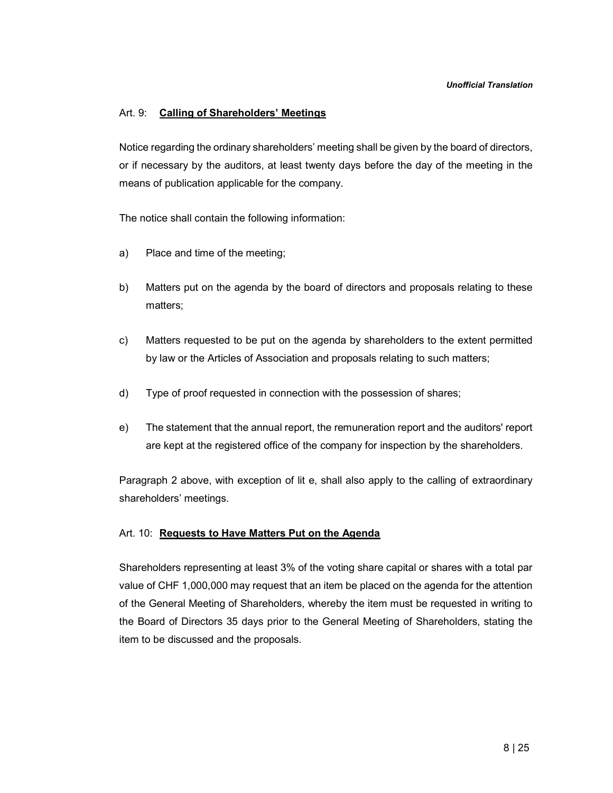# Art. 9: Calling of Shareholders' Meetings

Notice regarding the ordinary shareholders' meeting shall be given by the board of directors, or if necessary by the auditors, at least twenty days before the day of the meeting in the means of publication applicable for the company.

The notice shall contain the following information:

- a) Place and time of the meeting;
- b) Matters put on the agenda by the board of directors and proposals relating to these matters;
- c) Matters requested to be put on the agenda by shareholders to the extent permitted by law or the Articles of Association and proposals relating to such matters;
- d) Type of proof requested in connection with the possession of shares;
- e) The statement that the annual report, the remuneration report and the auditors' report are kept at the registered office of the company for inspection by the shareholders.

Paragraph 2 above, with exception of lit e, shall also apply to the calling of extraordinary shareholders' meetings.

### Art. 10: Requests to Have Matters Put on the Agenda

Shareholders representing at least 3% of the voting share capital or shares with a total par value of CHF 1,000,000 may request that an item be placed on the agenda for the attention of the General Meeting of Shareholders, whereby the item must be requested in writing to the Board of Directors 35 days prior to the General Meeting of Shareholders, stating the item to be discussed and the proposals.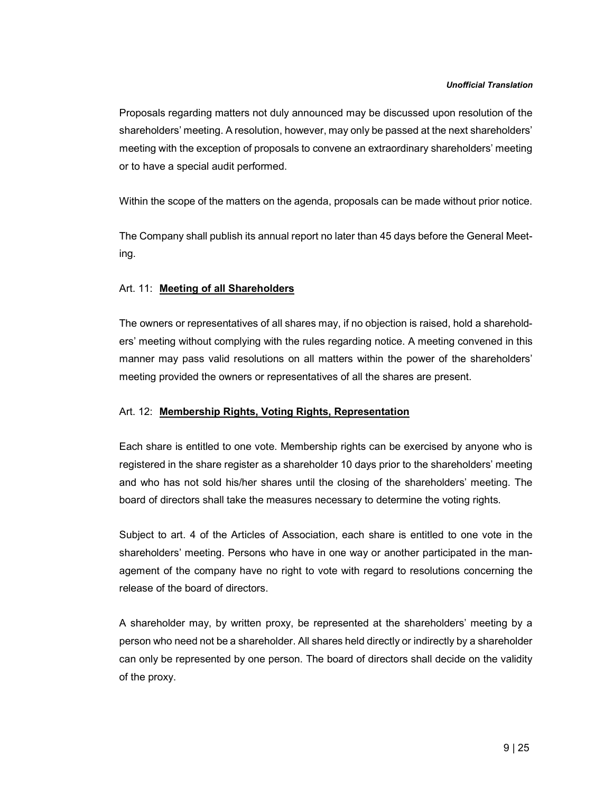Proposals regarding matters not duly announced may be discussed upon resolution of the shareholders' meeting. A resolution, however, may only be passed at the next shareholders' meeting with the exception of proposals to convene an extraordinary shareholders' meeting or to have a special audit performed.

Within the scope of the matters on the agenda, proposals can be made without prior notice.

The Company shall publish its annual report no later than 45 days before the General Meeting.

# Art. 11: Meeting of all Shareholders

The owners or representatives of all shares may, if no objection is raised, hold a shareholders' meeting without complying with the rules regarding notice. A meeting convened in this manner may pass valid resolutions on all matters within the power of the shareholders' meeting provided the owners or representatives of all the shares are present.

### Art. 12: Membership Rights, Voting Rights, Representation

Each share is entitled to one vote. Membership rights can be exercised by anyone who is registered in the share register as a shareholder 10 days prior to the shareholders' meeting and who has not sold his/her shares until the closing of the shareholders' meeting. The board of directors shall take the measures necessary to determine the voting rights.

Subject to art. 4 of the Articles of Association, each share is entitled to one vote in the shareholders' meeting. Persons who have in one way or another participated in the management of the company have no right to vote with regard to resolutions concerning the release of the board of directors.

A shareholder may, by written proxy, be represented at the shareholders' meeting by a person who need not be a shareholder. All shares held directly or indirectly by a shareholder can only be represented by one person. The board of directors shall decide on the validity of the proxy.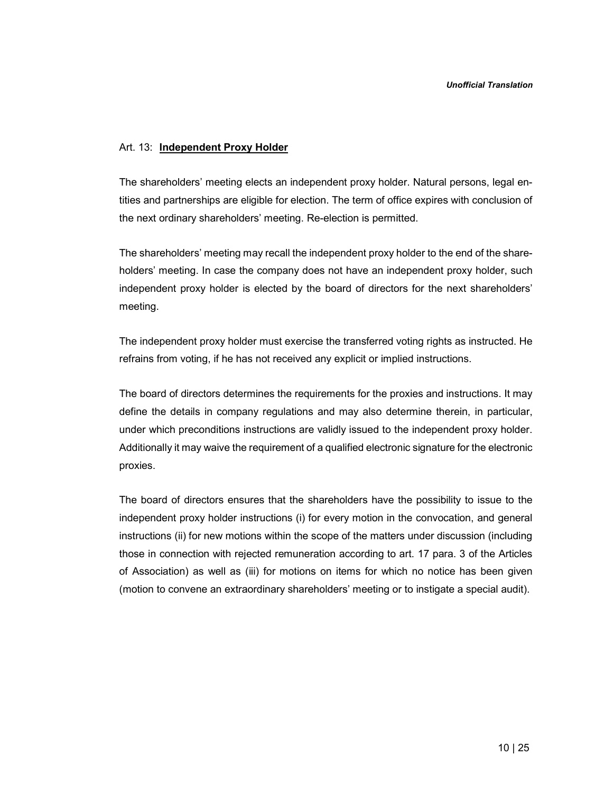#### Art. 13: Independent Proxy Holder

The shareholders' meeting elects an independent proxy holder. Natural persons, legal entities and partnerships are eligible for election. The term of office expires with conclusion of the next ordinary shareholders' meeting. Re-election is permitted.

The shareholders' meeting may recall the independent proxy holder to the end of the shareholders' meeting. In case the company does not have an independent proxy holder, such independent proxy holder is elected by the board of directors for the next shareholders' meeting.

The independent proxy holder must exercise the transferred voting rights as instructed. He refrains from voting, if he has not received any explicit or implied instructions.

The board of directors determines the requirements for the proxies and instructions. It may define the details in company regulations and may also determine therein, in particular, under which preconditions instructions are validly issued to the independent proxy holder. Additionally it may waive the requirement of a qualified electronic signature for the electronic proxies.

The board of directors ensures that the shareholders have the possibility to issue to the independent proxy holder instructions (i) for every motion in the convocation, and general instructions (ii) for new motions within the scope of the matters under discussion (including those in connection with rejected remuneration according to art. 17 para. 3 of the Articles of Association) as well as (iii) for motions on items for which no notice has been given (motion to convene an extraordinary shareholders' meeting or to instigate a special audit).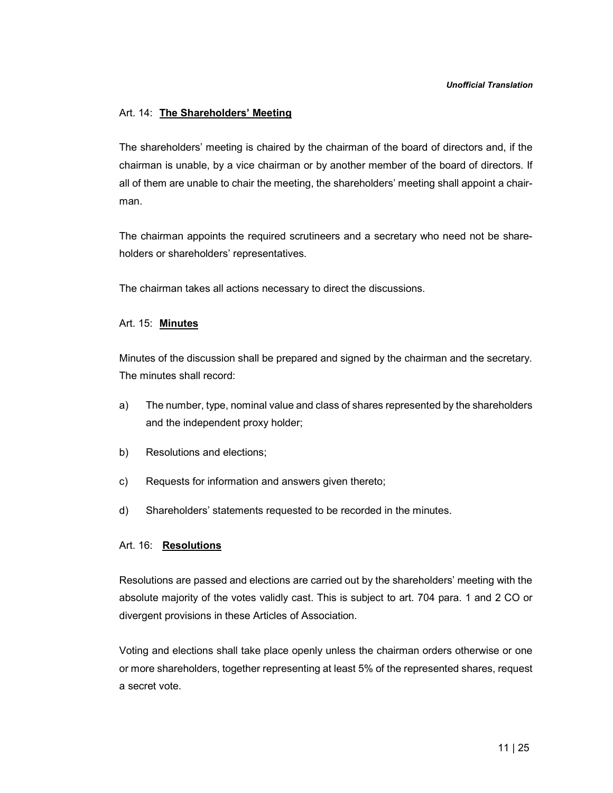## Art. 14: The Shareholders' Meeting

The shareholders' meeting is chaired by the chairman of the board of directors and, if the chairman is unable, by a vice chairman or by another member of the board of directors. If all of them are unable to chair the meeting, the shareholders' meeting shall appoint a chairman.

The chairman appoints the required scrutineers and a secretary who need not be shareholders or shareholders' representatives.

The chairman takes all actions necessary to direct the discussions.

### Art. 15: Minutes

Minutes of the discussion shall be prepared and signed by the chairman and the secretary. The minutes shall record:

- a) The number, type, nominal value and class of shares represented by the shareholders and the independent proxy holder;
- b) Resolutions and elections;
- c) Requests for information and answers given thereto;
- d) Shareholders' statements requested to be recorded in the minutes.

# Art. 16: Resolutions

Resolutions are passed and elections are carried out by the shareholders' meeting with the absolute majority of the votes validly cast. This is subject to art. 704 para. 1 and 2 CO or divergent provisions in these Articles of Association.

Voting and elections shall take place openly unless the chairman orders otherwise or one or more shareholders, together representing at least 5% of the represented shares, request a secret vote.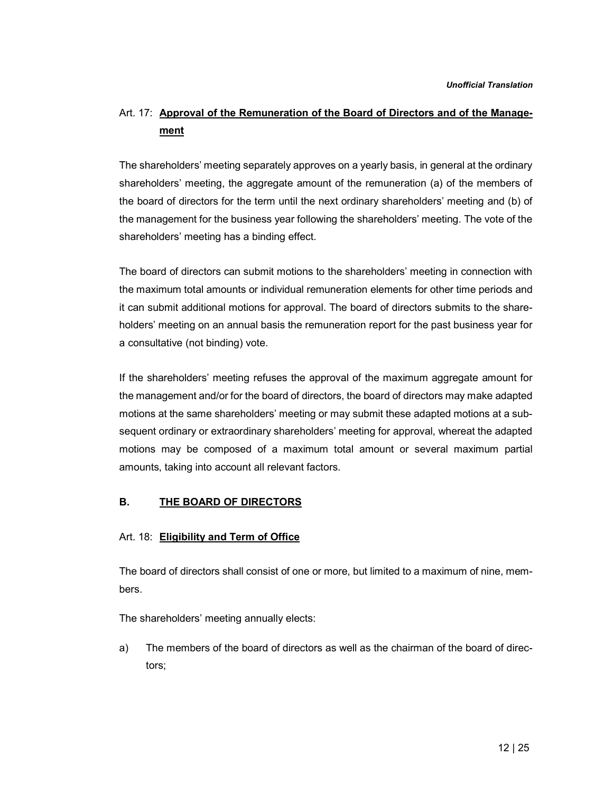# Art. 17: Approval of the Remuneration of the Board of Directors and of the Management

The shareholders' meeting separately approves on a yearly basis, in general at the ordinary shareholders' meeting, the aggregate amount of the remuneration (a) of the members of the board of directors for the term until the next ordinary shareholders' meeting and (b) of the management for the business year following the shareholders' meeting. The vote of the shareholders' meeting has a binding effect.

The board of directors can submit motions to the shareholders' meeting in connection with the maximum total amounts or individual remuneration elements for other time periods and it can submit additional motions for approval. The board of directors submits to the shareholders' meeting on an annual basis the remuneration report for the past business year for a consultative (not binding) vote.

If the shareholders' meeting refuses the approval of the maximum aggregate amount for the management and/or for the board of directors, the board of directors may make adapted motions at the same shareholders' meeting or may submit these adapted motions at a subsequent ordinary or extraordinary shareholders' meeting for approval, whereat the adapted motions may be composed of a maximum total amount or several maximum partial amounts, taking into account all relevant factors.

# B. THE BOARD OF DIRECTORS

# Art. 18: Eligibility and Term of Office

The board of directors shall consist of one or more, but limited to a maximum of nine, members.

The shareholders' meeting annually elects:

a) The members of the board of directors as well as the chairman of the board of directors;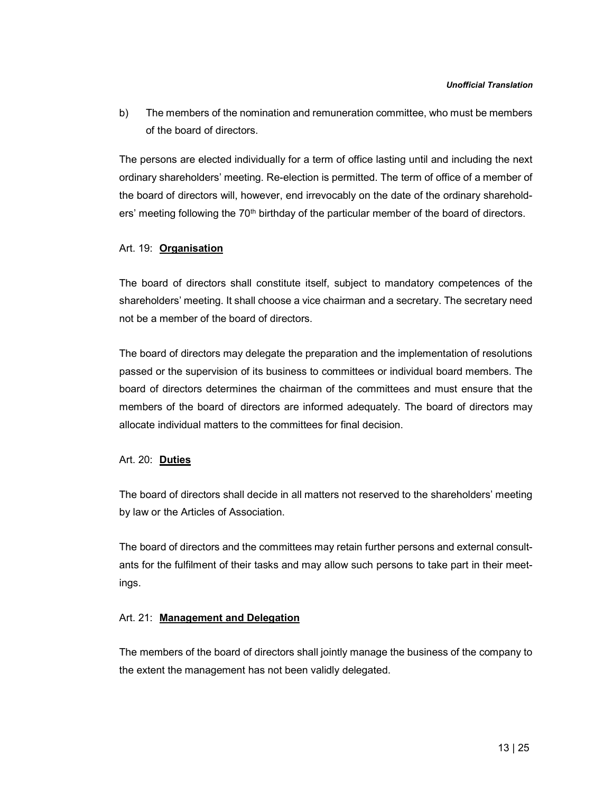b) The members of the nomination and remuneration committee, who must be members of the board of directors.

The persons are elected individually for a term of office lasting until and including the next ordinary shareholders' meeting. Re-election is permitted. The term of office of a member of the board of directors will, however, end irrevocably on the date of the ordinary shareholders' meeting following the  $70<sup>th</sup>$  birthday of the particular member of the board of directors.

### Art. 19: Organisation

The board of directors shall constitute itself, subject to mandatory competences of the shareholders' meeting. It shall choose a vice chairman and a secretary. The secretary need not be a member of the board of directors.

The board of directors may delegate the preparation and the implementation of resolutions passed or the supervision of its business to committees or individual board members. The board of directors determines the chairman of the committees and must ensure that the members of the board of directors are informed adequately. The board of directors may allocate individual matters to the committees for final decision.

### Art. 20: Duties

The board of directors shall decide in all matters not reserved to the shareholders' meeting by law or the Articles of Association.

The board of directors and the committees may retain further persons and external consultants for the fulfilment of their tasks and may allow such persons to take part in their meetings.

### Art. 21: Management and Delegation

The members of the board of directors shall jointly manage the business of the company to the extent the management has not been validly delegated.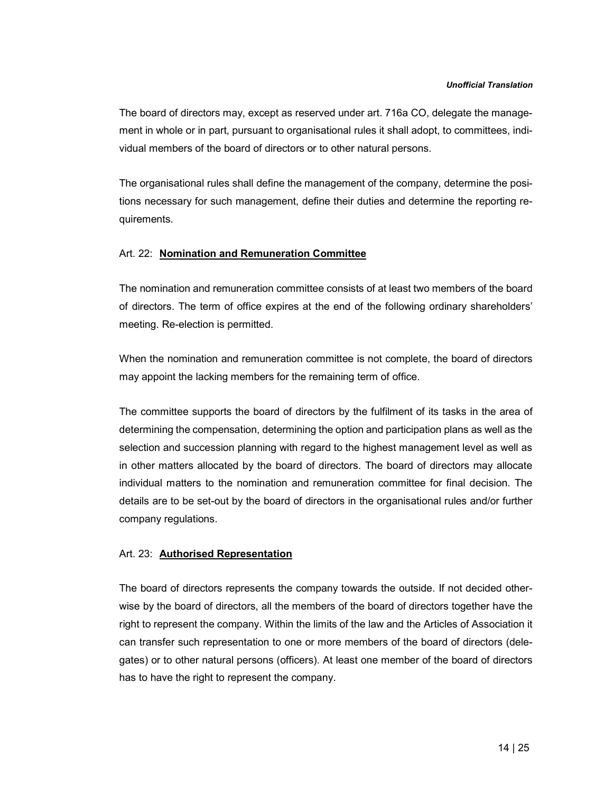The board of directors may, except as reserved under art. 716a CO, delegate the management in whole or in part, pursuant to organisational rules it shall adopt, to committees, individual members of the board of directors or to other natural persons.

The organisational rules shall define the management of the company, determine the positions necessary for such management, define their duties and determine the reporting requirements.

### Art. 22: Nomination and Remuneration Committee

The nomination and remuneration committee consists of at least two members of the board of directors. The term of office expires at the end of the following ordinary shareholders' meeting. Re-election is permitted.

When the nomination and remuneration committee is not complete, the board of directors may appoint the lacking members for the remaining term of office.

The committee supports the board of directors by the fulfilment of its tasks in the area of determining the compensation, determining the option and participation plans as well as the selection and succession planning with regard to the highest management level as well as in other matters allocated by the board of directors. The board of directors may allocate individual matters to the nomination and remuneration committee for final decision. The details are to be set-out by the board of directors in the organisational rules and/or further company regulations.

### Art. 23: **Authorised Representation**

The board of directors represents the company towards the outside. If not decided otherwise by the board of directors, all the members of the board of directors together have the right to represent the company. Within the limits of the law and the Articles of Association it can transfer such representation to one or more members of the board of directors (delegates) or to other natural persons (officers). At least one member of the board of directors has to have the right to represent the company.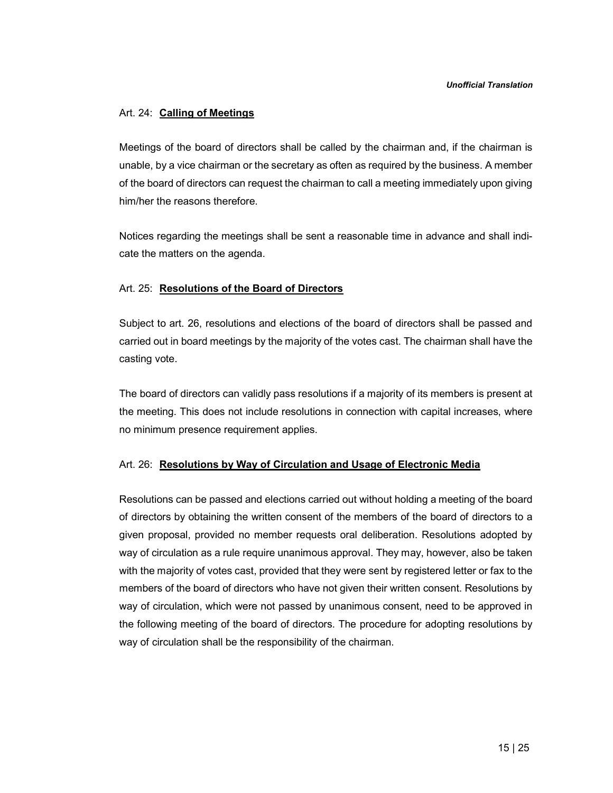### Art. 24: Calling of Meetings

Meetings of the board of directors shall be called by the chairman and, if the chairman is unable, by a vice chairman or the secretary as often as required by the business. A member of the board of directors can request the chairman to call a meeting immediately upon giving him/her the reasons therefore.

Notices regarding the meetings shall be sent a reasonable time in advance and shall indicate the matters on the agenda.

## Art. 25: Resolutions of the Board of Directors

Subject to art. 26, resolutions and elections of the board of directors shall be passed and carried out in board meetings by the majority of the votes cast. The chairman shall have the casting vote.

The board of directors can validly pass resolutions if a majority of its members is present at the meeting. This does not include resolutions in connection with capital increases, where no minimum presence requirement applies.

### Art. 26: Resolutions by Way of Circulation and Usage of Electronic Media

Resolutions can be passed and elections carried out without holding a meeting of the board of directors by obtaining the written consent of the members of the board of directors to a given proposal, provided no member requests oral deliberation. Resolutions adopted by way of circulation as a rule require unanimous approval. They may, however, also be taken with the majority of votes cast, provided that they were sent by registered letter or fax to the members of the board of directors who have not given their written consent. Resolutions by way of circulation, which were not passed by unanimous consent, need to be approved in the following meeting of the board of directors. The procedure for adopting resolutions by way of circulation shall be the responsibility of the chairman.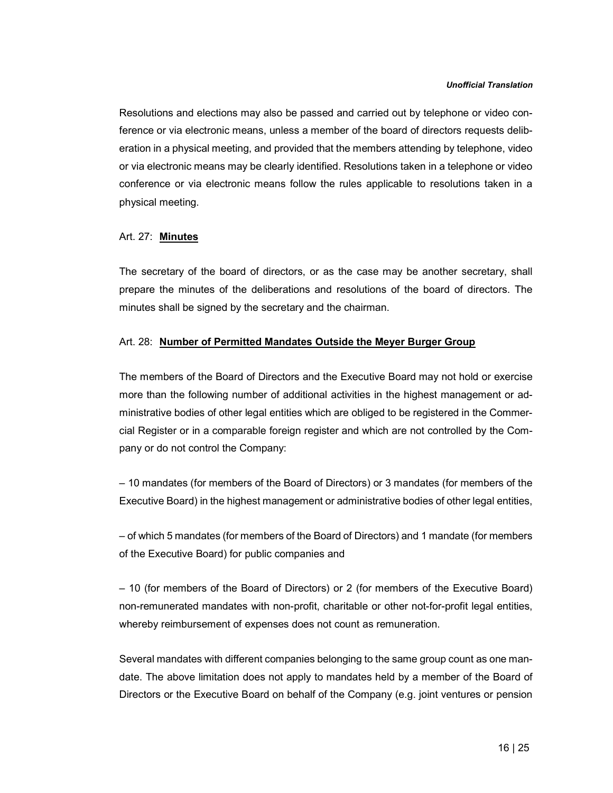Resolutions and elections may also be passed and carried out by telephone or video conference or via electronic means, unless a member of the board of directors requests deliberation in a physical meeting, and provided that the members attending by telephone, video or via electronic means may be clearly identified. Resolutions taken in a telephone or video conference or via electronic means follow the rules applicable to resolutions taken in a physical meeting.

# Art. 27: Minutes

The secretary of the board of directors, or as the case may be another secretary, shall prepare the minutes of the deliberations and resolutions of the board of directors. The minutes shall be signed by the secretary and the chairman.

#### Art. 28: Number of Permitted Mandates Outside the Meyer Burger Group

The members of the Board of Directors and the Executive Board may not hold or exercise more than the following number of additional activities in the highest management or administrative bodies of other legal entities which are obliged to be registered in the Commercial Register or in a comparable foreign register and which are not controlled by the Company or do not control the Company:

– 10 mandates (for members of the Board of Directors) or 3 mandates (for members of the Executive Board) in the highest management or administrative bodies of other legal entities,

– of which 5 mandates (for members of the Board of Directors) and 1 mandate (for members of the Executive Board) for public companies and

– 10 (for members of the Board of Directors) or 2 (for members of the Executive Board) non-remunerated mandates with non-profit, charitable or other not-for-profit legal entities, whereby reimbursement of expenses does not count as remuneration.

Several mandates with different companies belonging to the same group count as one mandate. The above limitation does not apply to mandates held by a member of the Board of Directors or the Executive Board on behalf of the Company (e.g. joint ventures or pension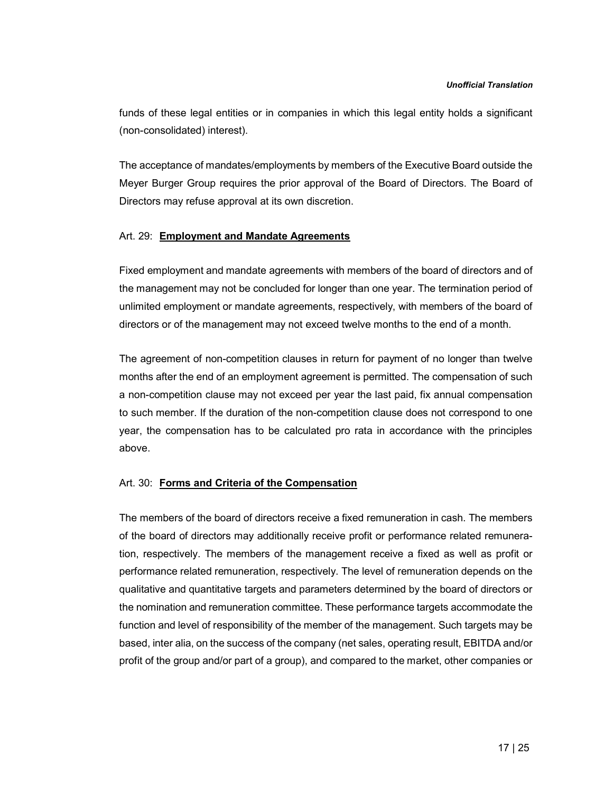funds of these legal entities or in companies in which this legal entity holds a significant (non-consolidated) interest).

The acceptance of mandates/employments by members of the Executive Board outside the Meyer Burger Group requires the prior approval of the Board of Directors. The Board of Directors may refuse approval at its own discretion.

### Art. 29: Employment and Mandate Agreements

Fixed employment and mandate agreements with members of the board of directors and of the management may not be concluded for longer than one year. The termination period of unlimited employment or mandate agreements, respectively, with members of the board of directors or of the management may not exceed twelve months to the end of a month.

The agreement of non-competition clauses in return for payment of no longer than twelve months after the end of an employment agreement is permitted. The compensation of such a non-competition clause may not exceed per year the last paid, fix annual compensation to such member. If the duration of the non-competition clause does not correspond to one year, the compensation has to be calculated pro rata in accordance with the principles above.

### Art. 30: Forms and Criteria of the Compensation

The members of the board of directors receive a fixed remuneration in cash. The members of the board of directors may additionally receive profit or performance related remuneration, respectively. The members of the management receive a fixed as well as profit or performance related remuneration, respectively. The level of remuneration depends on the qualitative and quantitative targets and parameters determined by the board of directors or the nomination and remuneration committee. These performance targets accommodate the function and level of responsibility of the member of the management. Such targets may be based, inter alia, on the success of the company (net sales, operating result, EBITDA and/or profit of the group and/or part of a group), and compared to the market, other companies or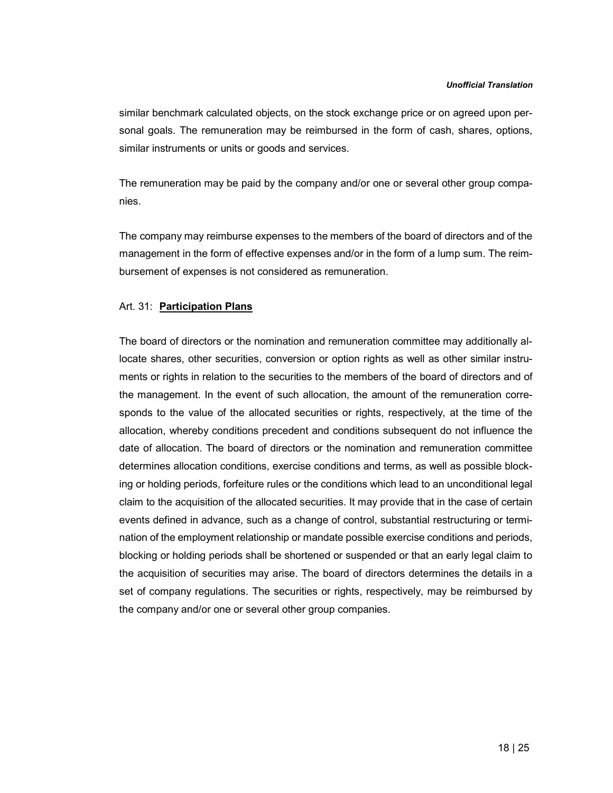similar benchmark calculated objects, on the stock exchange price or on agreed upon personal goals. The remuneration may be reimbursed in the form of cash, shares, options, similar instruments or units or goods and services.

The remuneration may be paid by the company and/or one or several other group companies.

The company may reimburse expenses to the members of the board of directors and of the management in the form of effective expenses and/or in the form of a lump sum. The reimbursement of expenses is not considered as remuneration.

### Art. 31: Participation Plans

The board of directors or the nomination and remuneration committee may additionally allocate shares, other securities, conversion or option rights as well as other similar instruments or rights in relation to the securities to the members of the board of directors and of the management. In the event of such allocation, the amount of the remuneration corresponds to the value of the allocated securities or rights, respectively, at the time of the allocation, whereby conditions precedent and conditions subsequent do not influence the date of allocation. The board of directors or the nomination and remuneration committee determines allocation conditions, exercise conditions and terms, as well as possible blocking or holding periods, forfeiture rules or the conditions which lead to an unconditional legal claim to the acquisition of the allocated securities. It may provide that in the case of certain events defined in advance, such as a change of control, substantial restructuring or termination of the employment relationship or mandate possible exercise conditions and periods, blocking or holding periods shall be shortened or suspended or that an early legal claim to the acquisition of securities may arise. The board of directors determines the details in a set of company regulations. The securities or rights, respectively, may be reimbursed by the company and/or one or several other group companies.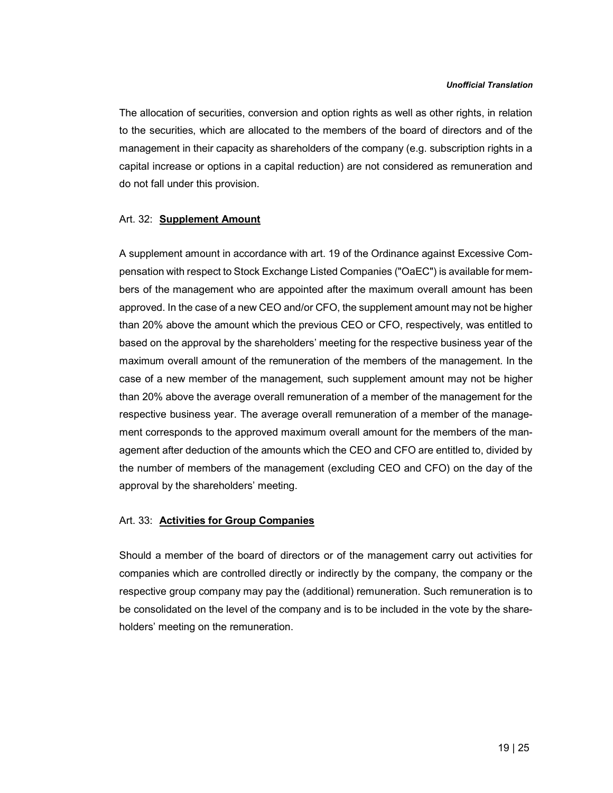The allocation of securities, conversion and option rights as well as other rights, in relation to the securities, which are allocated to the members of the board of directors and of the management in their capacity as shareholders of the company (e.g. subscription rights in a capital increase or options in a capital reduction) are not considered as remuneration and do not fall under this provision.

### Art. 32: Supplement Amount

A supplement amount in accordance with art. 19 of the Ordinance against Excessive Compensation with respect to Stock Exchange Listed Companies ("OaEC") is available for members of the management who are appointed after the maximum overall amount has been approved. In the case of a new CEO and/or CFO, the supplement amount may not be higher than 20% above the amount which the previous CEO or CFO, respectively, was entitled to based on the approval by the shareholders' meeting for the respective business year of the maximum overall amount of the remuneration of the members of the management. In the case of a new member of the management, such supplement amount may not be higher than 20% above the average overall remuneration of a member of the management for the respective business year. The average overall remuneration of a member of the management corresponds to the approved maximum overall amount for the members of the management after deduction of the amounts which the CEO and CFO are entitled to, divided by the number of members of the management (excluding CEO and CFO) on the day of the approval by the shareholders' meeting.

### Art. 33: **Activities for Group Companies**

Should a member of the board of directors or of the management carry out activities for companies which are controlled directly or indirectly by the company, the company or the respective group company may pay the (additional) remuneration. Such remuneration is to be consolidated on the level of the company and is to be included in the vote by the shareholders' meeting on the remuneration.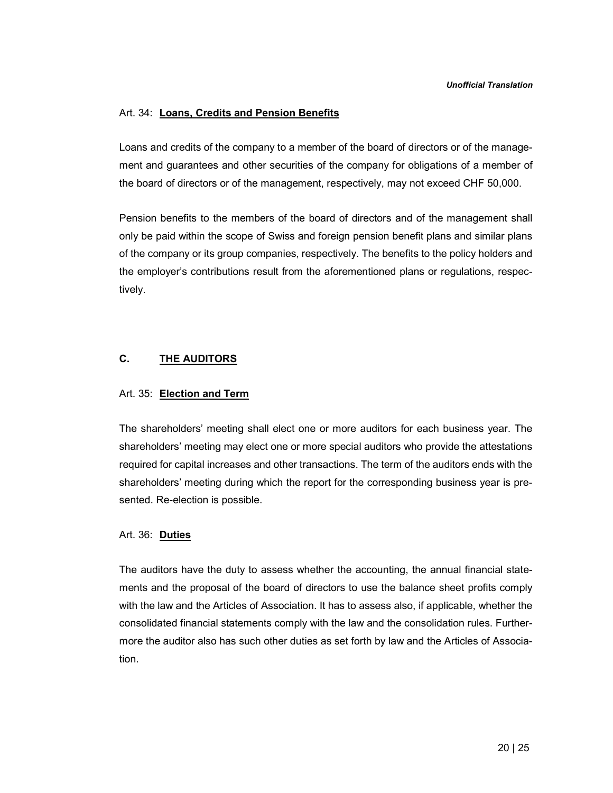### Art. 34: Loans, Credits and Pension Benefits

Loans and credits of the company to a member of the board of directors or of the management and guarantees and other securities of the company for obligations of a member of the board of directors or of the management, respectively, may not exceed CHF 50,000.

Pension benefits to the members of the board of directors and of the management shall only be paid within the scope of Swiss and foreign pension benefit plans and similar plans of the company or its group companies, respectively. The benefits to the policy holders and the employer's contributions result from the aforementioned plans or regulations, respectively.

# C. THE AUDITORS

### Art. 35: Election and Term

The shareholders' meeting shall elect one or more auditors for each business year. The shareholders' meeting may elect one or more special auditors who provide the attestations required for capital increases and other transactions. The term of the auditors ends with the shareholders' meeting during which the report for the corresponding business year is presented. Re-election is possible.

### Art. 36: Duties

The auditors have the duty to assess whether the accounting, the annual financial statements and the proposal of the board of directors to use the balance sheet profits comply with the law and the Articles of Association. It has to assess also, if applicable, whether the consolidated financial statements comply with the law and the consolidation rules. Furthermore the auditor also has such other duties as set forth by law and the Articles of Association.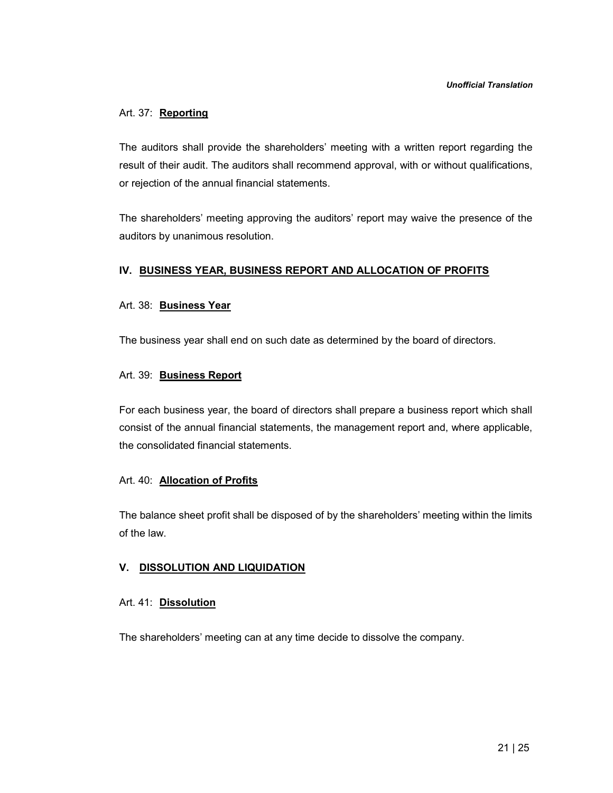## Art. 37: Reporting

The auditors shall provide the shareholders' meeting with a written report regarding the result of their audit. The auditors shall recommend approval, with or without qualifications, or rejection of the annual financial statements.

The shareholders' meeting approving the auditors' report may waive the presence of the auditors by unanimous resolution.

# IV. BUSINESS YEAR, BUSINESS REPORT AND ALLOCATION OF PROFITS

### Art. 38: Business Year

The business year shall end on such date as determined by the board of directors.

### Art. 39: Business Report

For each business year, the board of directors shall prepare a business report which shall consist of the annual financial statements, the management report and, where applicable, the consolidated financial statements.

### Art. 40: **Allocation of Profits**

The balance sheet profit shall be disposed of by the shareholders' meeting within the limits of the law.

# V. DISSOLUTION AND LIQUIDATION

### Art. 41: Dissolution

The shareholders' meeting can at any time decide to dissolve the company.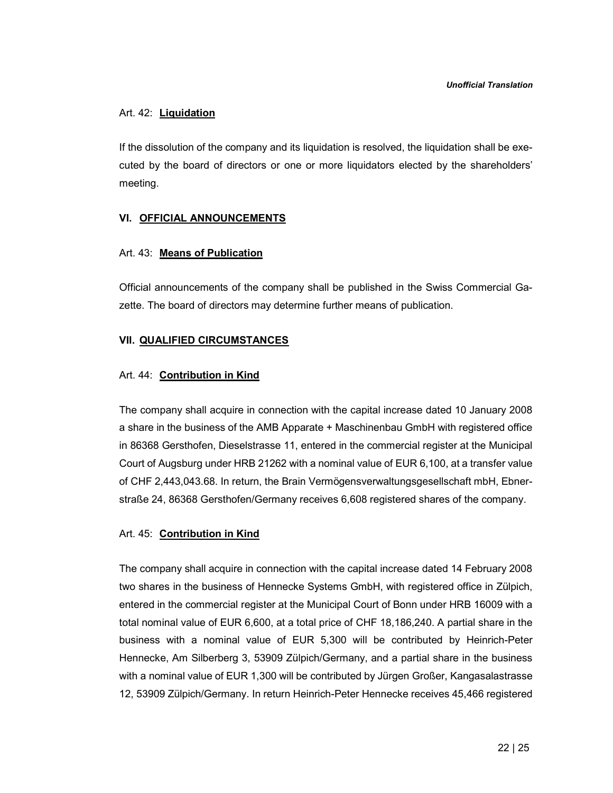#### Art. 42: Liquidation

If the dissolution of the company and its liquidation is resolved, the liquidation shall be executed by the board of directors or one or more liquidators elected by the shareholders' meeting.

#### VI. OFFICIAL ANNOUNCEMENTS

#### Art. 43: Means of Publication

Official announcements of the company shall be published in the Swiss Commercial Gazette. The board of directors may determine further means of publication.

#### VII. QUALIFIED CIRCUMSTANCES

#### Art. 44: Contribution in Kind

The company shall acquire in connection with the capital increase dated 10 January 2008 a share in the business of the AMB Apparate + Maschinenbau GmbH with registered office in 86368 Gersthofen, Dieselstrasse 11, entered in the commercial register at the Municipal Court of Augsburg under HRB 21262 with a nominal value of EUR 6,100, at a transfer value of CHF 2,443,043.68. In return, the Brain Vermögensverwaltungsgesellschaft mbH, Ebnerstraße 24, 86368 Gersthofen/Germany receives 6,608 registered shares of the company.

#### Art. 45: Contribution in Kind

The company shall acquire in connection with the capital increase dated 14 February 2008 two shares in the business of Hennecke Systems GmbH, with registered office in Zülpich, entered in the commercial register at the Municipal Court of Bonn under HRB 16009 with a total nominal value of EUR 6,600, at a total price of CHF 18,186,240. A partial share in the business with a nominal value of EUR 5,300 will be contributed by Heinrich-Peter Hennecke, Am Silberberg 3, 53909 Zülpich/Germany, and a partial share in the business with a nominal value of EUR 1,300 will be contributed by Jürgen Großer, Kangasalastrasse 12, 53909 Zülpich/Germany. In return Heinrich-Peter Hennecke receives 45,466 registered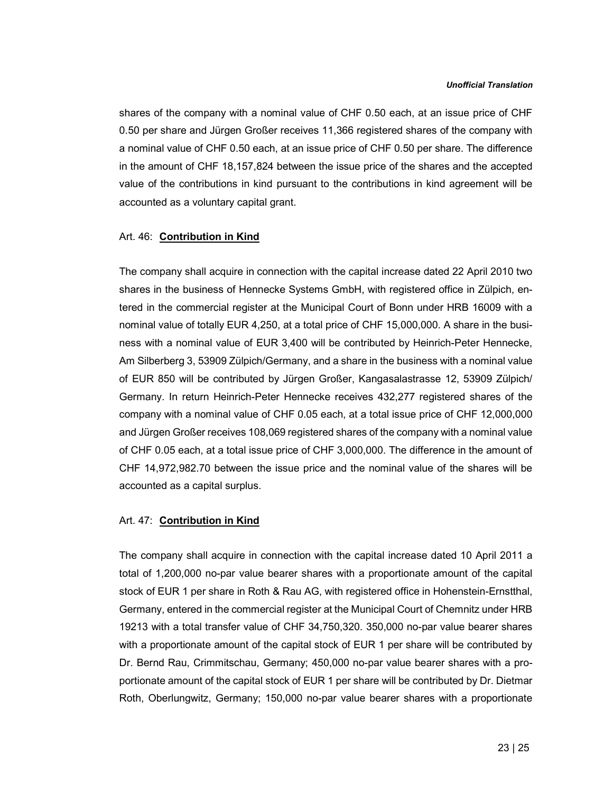shares of the company with a nominal value of CHF 0.50 each, at an issue price of CHF 0.50 per share and Jürgen Großer receives 11,366 registered shares of the company with a nominal value of CHF 0.50 each, at an issue price of CHF 0.50 per share. The difference in the amount of CHF 18,157,824 between the issue price of the shares and the accepted value of the contributions in kind pursuant to the contributions in kind agreement will be accounted as a voluntary capital grant.

### Art. 46: Contribution in Kind

The company shall acquire in connection with the capital increase dated 22 April 2010 two shares in the business of Hennecke Systems GmbH, with registered office in Zülpich, entered in the commercial register at the Municipal Court of Bonn under HRB 16009 with a nominal value of totally EUR 4,250, at a total price of CHF 15,000,000. A share in the business with a nominal value of EUR 3,400 will be contributed by Heinrich-Peter Hennecke, Am Silberberg 3, 53909 Zülpich/Germany, and a share in the business with a nominal value of EUR 850 will be contributed by Jürgen Großer, Kangasalastrasse 12, 53909 Zülpich/ Germany. In return Heinrich-Peter Hennecke receives 432,277 registered shares of the company with a nominal value of CHF 0.05 each, at a total issue price of CHF 12,000,000 and Jürgen Großer receives 108,069 registered shares of the company with a nominal value of CHF 0.05 each, at a total issue price of CHF 3,000,000. The difference in the amount of CHF 14,972,982.70 between the issue price and the nominal value of the shares will be accounted as a capital surplus.

#### Art. 47: Contribution in Kind

The company shall acquire in connection with the capital increase dated 10 April 2011 a total of 1,200,000 no-par value bearer shares with a proportionate amount of the capital stock of EUR 1 per share in Roth & Rau AG, with registered office in Hohenstein-Ernstthal, Germany, entered in the commercial register at the Municipal Court of Chemnitz under HRB 19213 with a total transfer value of CHF 34,750,320. 350,000 no-par value bearer shares with a proportionate amount of the capital stock of EUR 1 per share will be contributed by Dr. Bernd Rau, Crimmitschau, Germany; 450,000 no-par value bearer shares with a proportionate amount of the capital stock of EUR 1 per share will be contributed by Dr. Dietmar Roth, Oberlungwitz, Germany; 150,000 no-par value bearer shares with a proportionate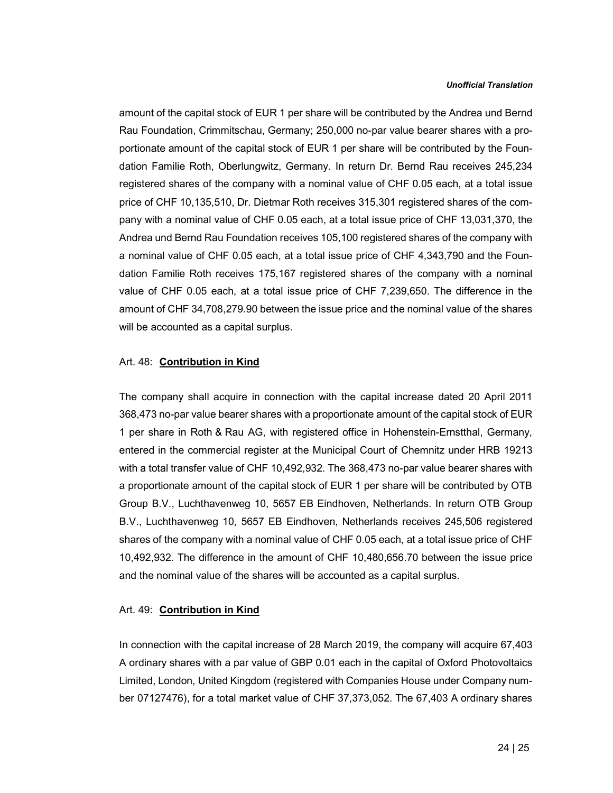amount of the capital stock of EUR 1 per share will be contributed by the Andrea und Bernd Rau Foundation, Crimmitschau, Germany; 250,000 no-par value bearer shares with a proportionate amount of the capital stock of EUR 1 per share will be contributed by the Foundation Familie Roth, Oberlungwitz, Germany. In return Dr. Bernd Rau receives 245,234 registered shares of the company with a nominal value of CHF 0.05 each, at a total issue price of CHF 10,135,510, Dr. Dietmar Roth receives 315,301 registered shares of the company with a nominal value of CHF 0.05 each, at a total issue price of CHF 13,031,370, the Andrea und Bernd Rau Foundation receives 105,100 registered shares of the company with a nominal value of CHF 0.05 each, at a total issue price of CHF 4,343,790 and the Foundation Familie Roth receives 175,167 registered shares of the company with a nominal value of CHF 0.05 each, at a total issue price of CHF 7,239,650. The difference in the amount of CHF 34,708,279.90 between the issue price and the nominal value of the shares will be accounted as a capital surplus.

#### Art. 48: Contribution in Kind

The company shall acquire in connection with the capital increase dated 20 April 2011 368,473 no-par value bearer shares with a proportionate amount of the capital stock of EUR 1 per share in Roth & Rau AG, with registered office in Hohenstein-Ernstthal, Germany, entered in the commercial register at the Municipal Court of Chemnitz under HRB 19213 with a total transfer value of CHF 10,492,932. The 368,473 no-par value bearer shares with a proportionate amount of the capital stock of EUR 1 per share will be contributed by OTB Group B.V., Luchthavenweg 10, 5657 EB Eindhoven, Netherlands. In return OTB Group B.V., Luchthavenweg 10, 5657 EB Eindhoven, Netherlands receives 245,506 registered shares of the company with a nominal value of CHF 0.05 each, at a total issue price of CHF 10,492,932. The difference in the amount of CHF 10,480,656.70 between the issue price and the nominal value of the shares will be accounted as a capital surplus.

### Art. 49: Contribution in Kind

In connection with the capital increase of 28 March 2019, the company will acquire 67,403 A ordinary shares with a par value of GBP 0.01 each in the capital of Oxford Photovoltaics Limited, London, United Kingdom (registered with Companies House under Company number 07127476), for a total market value of CHF 37,373,052. The 67,403 A ordinary shares